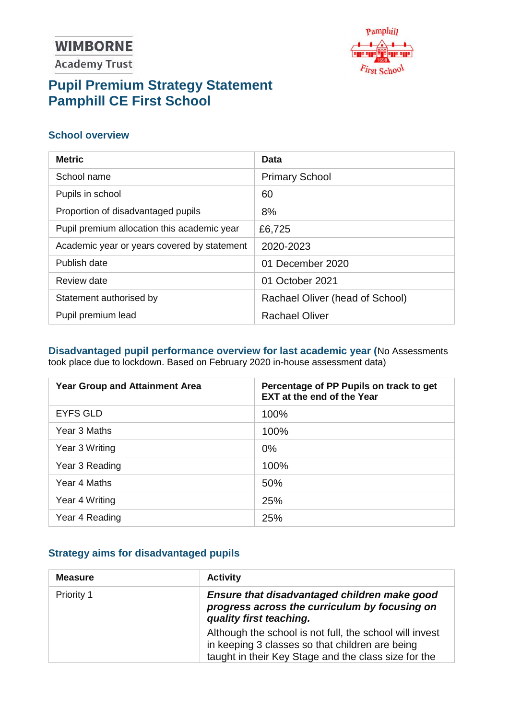# **WIMBORNE**

**Academy Trust** 



# **Pupil Premium Strategy Statement Pamphill CE First School**

### **School overview**

| <b>Metric</b>                               | Data                            |
|---------------------------------------------|---------------------------------|
| School name                                 | <b>Primary School</b>           |
| Pupils in school                            | 60                              |
| Proportion of disadvantaged pupils          | 8%                              |
| Pupil premium allocation this academic year | £6,725                          |
| Academic year or years covered by statement | 2020-2023                       |
| Publish date                                | 01 December 2020                |
| Review date                                 | 01 October 2021                 |
| Statement authorised by                     | Rachael Oliver (head of School) |
| Pupil premium lead                          | <b>Rachael Oliver</b>           |

#### **Disadvantaged pupil performance overview for last academic year (**No Assessments took place due to lockdown. Based on February 2020 in-house assessment data)

| <b>Year Group and Attainment Area</b> | Percentage of PP Pupils on track to get<br><b>EXT at the end of the Year</b> |
|---------------------------------------|------------------------------------------------------------------------------|
| <b>EYFS GLD</b>                       | 100%                                                                         |
| Year 3 Maths                          | 100%                                                                         |
| Year 3 Writing                        | $0\%$                                                                        |
| Year 3 Reading                        | 100%                                                                         |
| Year 4 Maths                          | 50%                                                                          |
| Year 4 Writing                        | 25%                                                                          |
| Year 4 Reading                        | 25%                                                                          |

### **Strategy aims for disadvantaged pupils**

| <b>Measure</b> | <b>Activity</b>                                                                                                                                                    |  |
|----------------|--------------------------------------------------------------------------------------------------------------------------------------------------------------------|--|
| Priority 1     | Ensure that disadvantaged children make good<br>progress across the curriculum by focusing on<br>quality first teaching.                                           |  |
|                | Although the school is not full, the school will invest<br>in keeping 3 classes so that children are being<br>taught in their Key Stage and the class size for the |  |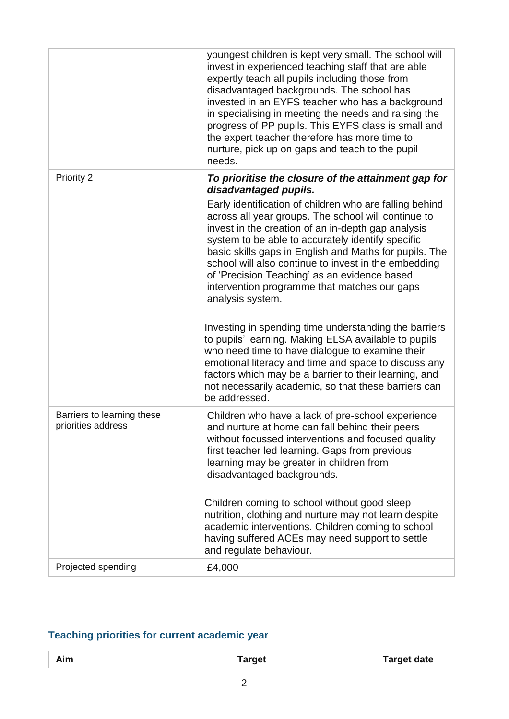|                                                  | youngest children is kept very small. The school will<br>invest in experienced teaching staff that are able<br>expertly teach all pupils including those from<br>disadvantaged backgrounds. The school has<br>invested in an EYFS teacher who has a background<br>in specialising in meeting the needs and raising the<br>progress of PP pupils. This EYFS class is small and<br>the expert teacher therefore has more time to<br>nurture, pick up on gaps and teach to the pupil<br>needs.                                                     |
|--------------------------------------------------|-------------------------------------------------------------------------------------------------------------------------------------------------------------------------------------------------------------------------------------------------------------------------------------------------------------------------------------------------------------------------------------------------------------------------------------------------------------------------------------------------------------------------------------------------|
| Priority 2                                       | To prioritise the closure of the attainment gap for<br>disadvantaged pupils.<br>Early identification of children who are falling behind<br>across all year groups. The school will continue to<br>invest in the creation of an in-depth gap analysis<br>system to be able to accurately identify specific<br>basic skills gaps in English and Maths for pupils. The<br>school will also continue to invest in the embedding<br>of 'Precision Teaching' as an evidence based<br>intervention programme that matches our gaps<br>analysis system. |
|                                                  | Investing in spending time understanding the barriers<br>to pupils' learning. Making ELSA available to pupils<br>who need time to have dialogue to examine their<br>emotional literacy and time and space to discuss any<br>factors which may be a barrier to their learning, and<br>not necessarily academic, so that these barriers can<br>be addressed.                                                                                                                                                                                      |
| Barriers to learning these<br>priorities address | Children who have a lack of pre-school experience<br>and nurture at home can fall behind their peers<br>without focussed interventions and focused quality<br>first teacher led learning. Gaps from previous<br>learning may be greater in children from<br>disadvantaged backgrounds.<br>Children coming to school without good sleep<br>nutrition, clothing and nurture may not learn despite<br>academic interventions. Children coming to school<br>having suffered ACEs may need support to settle                                         |
| Projected spending                               | and regulate behaviour.<br>£4,000                                                                                                                                                                                                                                                                                                                                                                                                                                                                                                               |
|                                                  |                                                                                                                                                                                                                                                                                                                                                                                                                                                                                                                                                 |

## **Teaching priorities for current academic year**

| Aim | ------<br>arget | Target date |
|-----|-----------------|-------------|
|     |                 |             |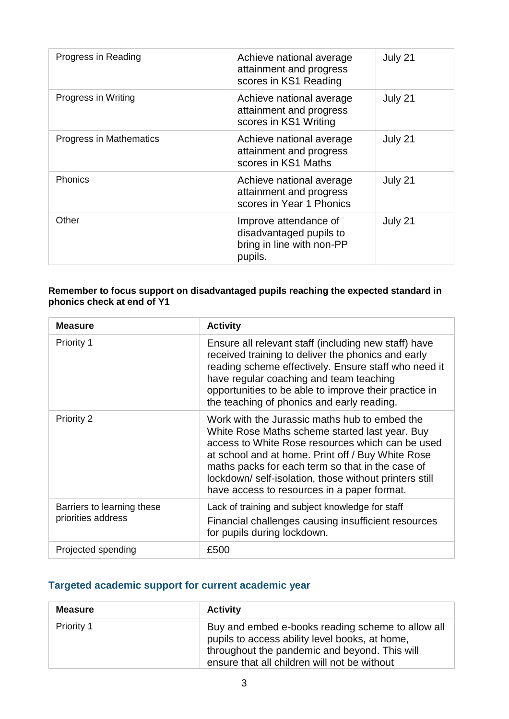| Progress in Reading     | Achieve national average<br>attainment and progress<br>scores in KS1 Reading             | July 21 |
|-------------------------|------------------------------------------------------------------------------------------|---------|
| Progress in Writing     | Achieve national average<br>attainment and progress<br>scores in KS1 Writing             | July 21 |
| Progress in Mathematics | Achieve national average<br>attainment and progress<br>scores in KS1 Maths               | July 21 |
| Phonics                 | Achieve national average<br>attainment and progress<br>scores in Year 1 Phonics          | July 21 |
| Other                   | Improve attendance of<br>disadvantaged pupils to<br>bring in line with non-PP<br>pupils. | July 21 |

#### **Remember to focus support on disadvantaged pupils reaching the expected standard in phonics check at end of Y1**

| <b>Measure</b>                                   | <b>Activity</b>                                                                                                                                                                                                                                                                                                                                                      |
|--------------------------------------------------|----------------------------------------------------------------------------------------------------------------------------------------------------------------------------------------------------------------------------------------------------------------------------------------------------------------------------------------------------------------------|
| <b>Priority 1</b>                                | Ensure all relevant staff (including new staff) have<br>received training to deliver the phonics and early<br>reading scheme effectively. Ensure staff who need it<br>have regular coaching and team teaching<br>opportunities to be able to improve their practice in<br>the teaching of phonics and early reading.                                                 |
| <b>Priority 2</b>                                | Work with the Jurassic maths hub to embed the<br>White Rose Maths scheme started last year. Buy<br>access to White Rose resources which can be used<br>at school and at home. Print off / Buy White Rose<br>maths packs for each term so that in the case of<br>lockdown/self-isolation, those without printers still<br>have access to resources in a paper format. |
| Barriers to learning these<br>priorities address | Lack of training and subject knowledge for staff<br>Financial challenges causing insufficient resources<br>for pupils during lockdown.                                                                                                                                                                                                                               |
| Projected spending                               | £500                                                                                                                                                                                                                                                                                                                                                                 |

### **Targeted academic support for current academic year**

| <b>Measure</b>    | <b>Activity</b>                                                                                                                                                                                      |
|-------------------|------------------------------------------------------------------------------------------------------------------------------------------------------------------------------------------------------|
| <b>Priority 1</b> | Buy and embed e-books reading scheme to allow all<br>pupils to access ability level books, at home,<br>throughout the pandemic and beyond. This will<br>ensure that all children will not be without |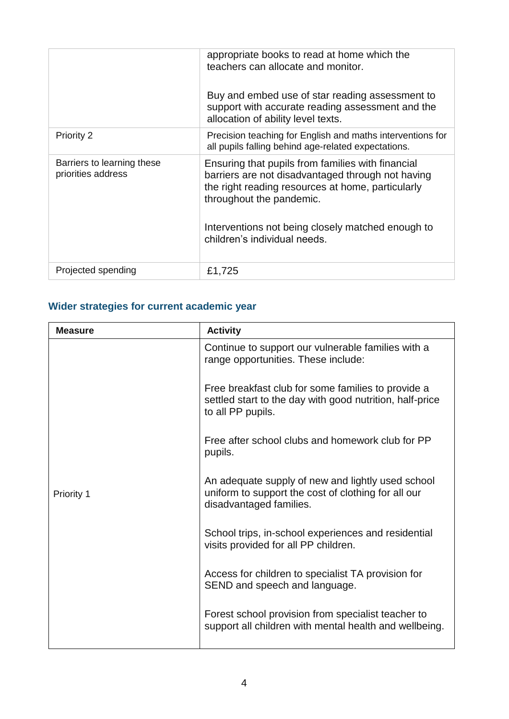|                                                  | appropriate books to read at home which the<br>teachers can allocate and monitor.<br>Buy and embed use of star reading assessment to<br>support with accurate reading assessment and the<br>allocation of ability level texts.                                               |
|--------------------------------------------------|------------------------------------------------------------------------------------------------------------------------------------------------------------------------------------------------------------------------------------------------------------------------------|
| <b>Priority 2</b>                                | Precision teaching for English and maths interventions for<br>all pupils falling behind age-related expectations.                                                                                                                                                            |
| Barriers to learning these<br>priorities address | Ensuring that pupils from families with financial<br>barriers are not disadvantaged through not having<br>the right reading resources at home, particularly<br>throughout the pandemic.<br>Interventions not being closely matched enough to<br>children's individual needs. |
| Projected spending                               | £1,725                                                                                                                                                                                                                                                                       |

## **Wider strategies for current academic year**

| <b>Measure</b> | <b>Activity</b>                                                                                                                     |  |
|----------------|-------------------------------------------------------------------------------------------------------------------------------------|--|
|                | Continue to support our vulnerable families with a<br>range opportunities. These include:                                           |  |
|                | Free breakfast club for some families to provide a<br>settled start to the day with good nutrition, half-price<br>to all PP pupils. |  |
|                | Free after school clubs and homework club for PP<br>pupils.                                                                         |  |
| Priority 1     | An adequate supply of new and lightly used school<br>uniform to support the cost of clothing for all our<br>disadvantaged families. |  |
|                | School trips, in-school experiences and residential<br>visits provided for all PP children.                                         |  |
|                | Access for children to specialist TA provision for<br>SEND and speech and language.                                                 |  |
|                | Forest school provision from specialist teacher to<br>support all children with mental health and wellbeing.                        |  |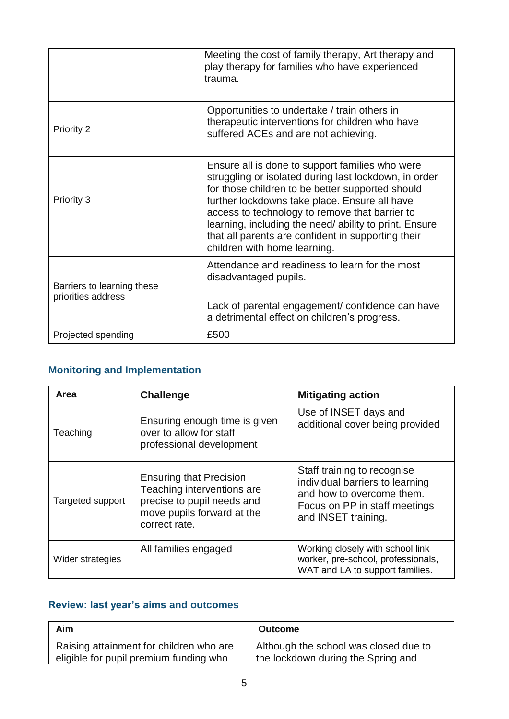|                                                  | Meeting the cost of family therapy, Art therapy and<br>play therapy for families who have experienced<br>trauma.                                                                                                                                                                                                                                                                                                |
|--------------------------------------------------|-----------------------------------------------------------------------------------------------------------------------------------------------------------------------------------------------------------------------------------------------------------------------------------------------------------------------------------------------------------------------------------------------------------------|
| Priority 2                                       | Opportunities to undertake / train others in<br>therapeutic interventions for children who have<br>suffered ACEs and are not achieving.                                                                                                                                                                                                                                                                         |
| Priority 3                                       | Ensure all is done to support families who were<br>struggling or isolated during last lockdown, in order<br>for those children to be better supported should<br>further lockdowns take place. Ensure all have<br>access to technology to remove that barrier to<br>learning, including the need/ ability to print. Ensure<br>that all parents are confident in supporting their<br>children with home learning. |
| Barriers to learning these<br>priorities address | Attendance and readiness to learn for the most<br>disadvantaged pupils.<br>Lack of parental engagement/ confidence can have<br>a detrimental effect on children's progress.                                                                                                                                                                                                                                     |
| Projected spending                               | £500                                                                                                                                                                                                                                                                                                                                                                                                            |

## **Monitoring and Implementation**

| Area             | <b>Challenge</b>                                                                                                                          | <b>Mitigating action</b>                                                                                                                            |
|------------------|-------------------------------------------------------------------------------------------------------------------------------------------|-----------------------------------------------------------------------------------------------------------------------------------------------------|
| Teaching         | Ensuring enough time is given<br>over to allow for staff<br>professional development                                                      | Use of INSET days and<br>additional cover being provided                                                                                            |
| Targeted support | <b>Ensuring that Precision</b><br>Teaching interventions are<br>precise to pupil needs and<br>move pupils forward at the<br>correct rate. | Staff training to recognise<br>individual barriers to learning<br>and how to overcome them.<br>Focus on PP in staff meetings<br>and INSET training. |
| Wider strategies | All families engaged                                                                                                                      | Working closely with school link<br>worker, pre-school, professionals,<br>WAT and LA to support families.                                           |

## **Review: last year's aims and outcomes**

| Aim                                     | <b>Outcome</b>                        |
|-----------------------------------------|---------------------------------------|
| Raising attainment for children who are | Although the school was closed due to |
| eligible for pupil premium funding who  | the lockdown during the Spring and    |